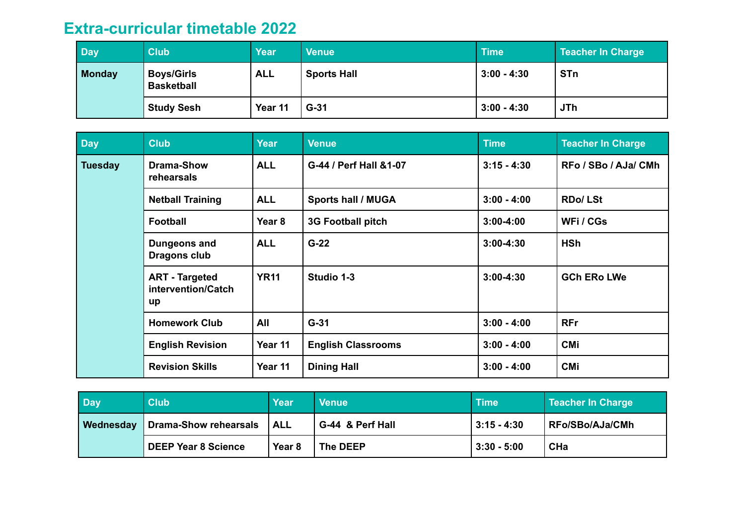## **Extra-curricular timetable 2022**

| Day           | <b>Club</b>                            | <b>Year</b> | <b>Venue</b>       | <b>Time</b>   | <b>Teacher In Charge</b> |
|---------------|----------------------------------------|-------------|--------------------|---------------|--------------------------|
| <b>Monday</b> | <b>Boys/Girls</b><br><b>Basketball</b> | <b>ALL</b>  | <b>Sports Hall</b> | $3:00 - 4:30$ | <b>STn</b>               |
|               | <b>Study Sesh</b>                      | Year 11     | $G-31$             | $3:00 - 4:30$ | <b>JTh</b>               |

| Day            | <b>Club</b>                                       | <b>Year</b>       | <b>Venue</b>              | <b>Time</b>   | <b>Teacher In Charge</b> |
|----------------|---------------------------------------------------|-------------------|---------------------------|---------------|--------------------------|
| <b>Tuesday</b> | <b>Drama-Show</b><br>rehearsals                   | <b>ALL</b>        | G-44 / Perf Hall &1-07    | $3:15 - 4:30$ | RFo / SBo / AJa/ CMh     |
|                | <b>Netball Training</b>                           | <b>ALL</b>        | <b>Sports hall / MUGA</b> | $3:00 - 4:00$ | <b>RDo/LSt</b>           |
|                | <b>Football</b>                                   | Year <sub>8</sub> | <b>3G Football pitch</b>  | $3:00 - 4:00$ | WFi / CGs                |
|                | Dungeons and<br>Dragons club                      | <b>ALL</b>        | $G-22$                    | $3:00 - 4:30$ | <b>HSh</b>               |
|                | <b>ART - Targeted</b><br>intervention/Catch<br>up | <b>YR11</b>       | Studio 1-3                | $3:00 - 4:30$ | <b>GCh ERo LWe</b>       |
|                | <b>Homework Club</b>                              | All               | $G-31$                    | $3:00 - 4:00$ | <b>RFr</b>               |
|                | <b>English Revision</b>                           | Year 11           | <b>English Classrooms</b> | $3:00 - 4:00$ | <b>CMi</b>               |
|                | <b>Revision Skills</b>                            | Year 11           | <b>Dining Hall</b>        | $3:00 - 4:00$ | <b>CMi</b>               |

| <b>Day</b> | <b>Club</b>                  | Year             | <b>Venue</b>     | ∣Time\        | Teacher In Charge |
|------------|------------------------------|------------------|------------------|---------------|-------------------|
| Wednesday  | <b>Drama-Show rehearsals</b> | <sup>I</sup> ALL | G-44 & Perf Hall | $3:15 - 4:30$ | RFo/SBo/AJa/CMh!  |
|            | <b>DEEP Year 8 Science</b>   | Year 8           | The DEEP         | $3:30 - 5:00$ | <b>CHa</b>        |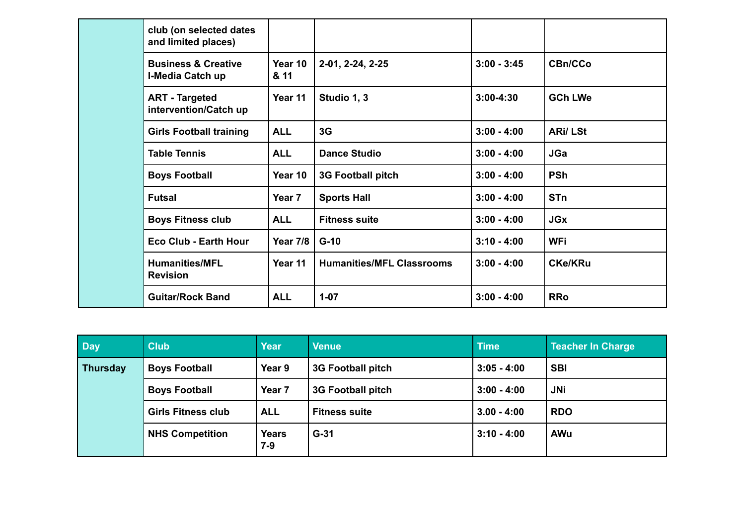| club (on selected dates<br>and limited places)     |                 |                                  |               |                |
|----------------------------------------------------|-----------------|----------------------------------|---------------|----------------|
| <b>Business &amp; Creative</b><br>I-Media Catch up | Year 10<br>& 11 | 2-01, 2-24, 2-25                 | $3:00 - 3:45$ | <b>CBn/CCo</b> |
| <b>ART</b> - Targeted<br>intervention/Catch up     | Year 11         | Studio 1, 3                      | $3:00 - 4:30$ | <b>GCh LWe</b> |
| <b>Girls Football training</b>                     | <b>ALL</b>      | 3G                               | $3:00 - 4:00$ | <b>ARi/LSt</b> |
| <b>Table Tennis</b>                                | <b>ALL</b>      | <b>Dance Studio</b>              | $3:00 - 4:00$ | <b>JGa</b>     |
| <b>Boys Football</b>                               | Year 10         | <b>3G Football pitch</b>         | $3:00 - 4:00$ | <b>PSh</b>     |
| <b>Futsal</b>                                      | Year 7          | <b>Sports Hall</b>               | $3:00 - 4:00$ | <b>STn</b>     |
| <b>Boys Fitness club</b>                           | <b>ALL</b>      | <b>Fitness suite</b>             | $3:00 - 4:00$ | <b>JGx</b>     |
| <b>Eco Club - Earth Hour</b>                       | <b>Year 7/8</b> | $G-10$                           | $3:10 - 4:00$ | <b>WFi</b>     |
| <b>Humanities/MFL</b><br><b>Revision</b>           | Year 11         | <b>Humanities/MFL Classrooms</b> | $3:00 - 4:00$ | <b>CKe/KRu</b> |
| <b>Guitar/Rock Band</b>                            | <b>ALL</b>      | $1 - 07$                         | $3:00 - 4:00$ | <b>RRo</b>     |

| <b>Day</b>      | <b>Club</b>               | <b>Year</b>         | <b>Venue</b>             | <b>Time</b>   | <b>Teacher In Charge</b> |
|-----------------|---------------------------|---------------------|--------------------------|---------------|--------------------------|
| <b>Thursday</b> | <b>Boys Football</b>      | Year 9              | <b>3G Football pitch</b> | $3:05 - 4:00$ | <b>SBI</b>               |
|                 | <b>Boys Football</b>      | Year 7              | <b>3G Football pitch</b> | $3:00 - 4:00$ | <b>JNi</b>               |
|                 | <b>Girls Fitness club</b> | <b>ALL</b>          | <b>Fitness suite</b>     | $3.00 - 4:00$ | <b>RDO</b>               |
|                 | <b>NHS Competition</b>    | <b>Years</b><br>7-9 | $G-31$                   | $3:10 - 4:00$ | <b>AWu</b>               |